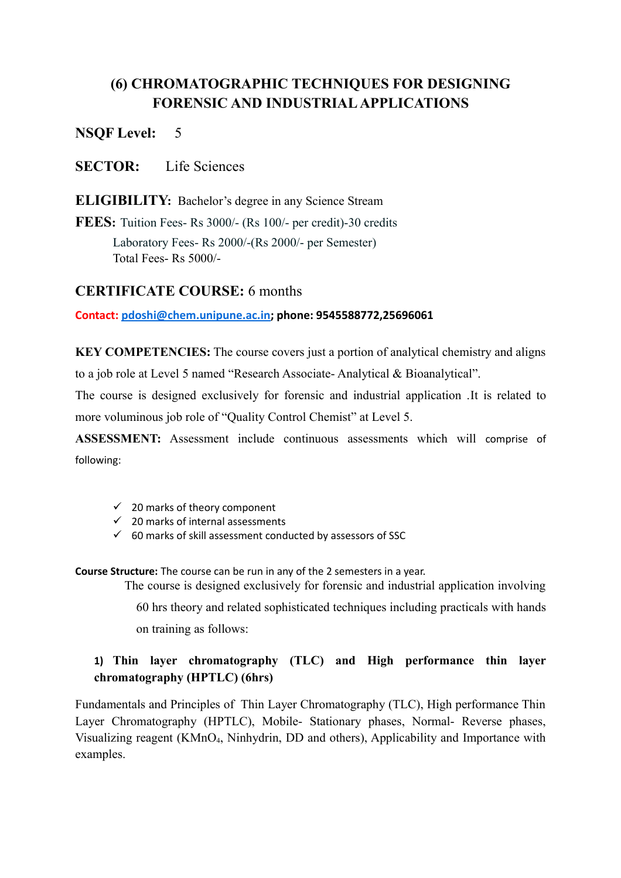# **(6) CHROMATOGRAPHIC TECHNIQUES FOR DESIGNING FORENSIC AND INDUSTRIAL APPLICATIONS**

**NSQF Level:** 5

**SECTOR:** Life Sciences

**ELIGIBILITY:** Bachelor's degree in any Science Stream

**FEES:** Tuition Fees- Rs 3000/- (Rs 100/- per credit)-30 credits

Laboratory Fees- Rs 2000/-(Rs 2000/- per Semester) Total Fees- Rs 5000/-

## **CERTIFICATE COURSE:** 6 months

**Contact: [pdoshi@chem.unipune.ac.in;](mailto:pdoshi@chem.unipune.ac.in) phone: 9545588772,25696061**

**KEY COMPETENCIES:** The course covers just a portion of analytical chemistry and aligns to a job role at Level 5 named "Research Associate- Analytical & Bioanalytical".

The course is designed exclusively for forensic and industrial application .It is related to more voluminous job role of "Quality Control Chemist" at Level 5.

**ASSESSMENT:** Assessment include continuous assessments which will comprise of following:

- $\checkmark$  20 marks of theory component
- $\checkmark$  20 marks of internal assessments
- $60$  marks of skill assessment conducted by assessors of SSC

**Course Structure:** The course can be run in any of the 2 semesters in a year.

The course is designed exclusively for forensic and industrial application involving

60 hrs theory and related sophisticated techniques including practicals with hands on training as follows:

# **1) Thin layer chromatography (TLC) and High performance thin layer chromatography (HPTLC) (6hrs)**

Fundamentals and Principles of Thin Layer Chromatography (TLC), High performance Thin Layer Chromatography (HPTLC), Mobile- Stationary phases, Normal- Reverse phases, Visualizing reagent (KMnO4, Ninhydrin, DD and others), Applicability and Importance with examples.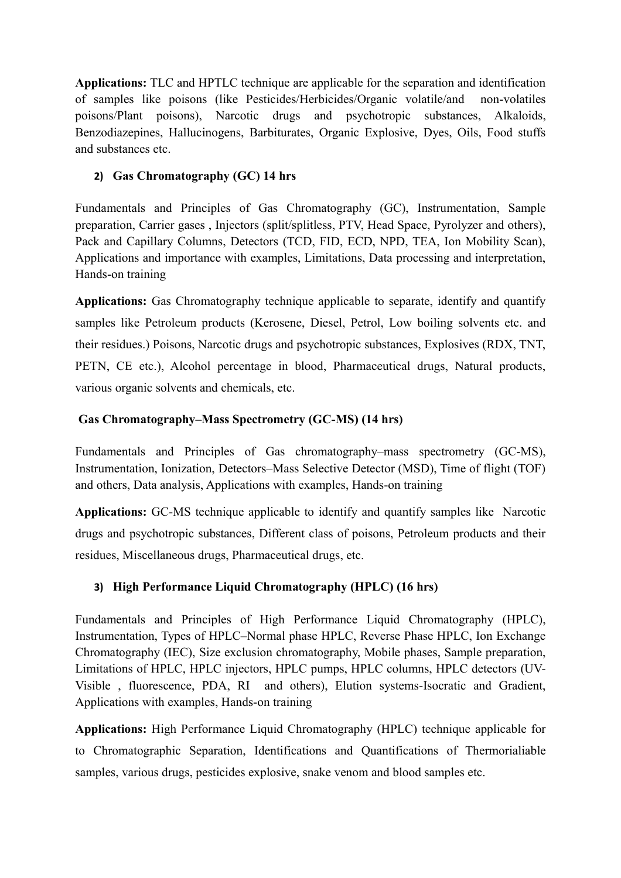**Applications:** TLC and HPTLC technique are applicable for the separation and identification of samples like poisons (like Pesticides/Herbicides/Organic volatile/and non-volatiles poisons/Plant poisons), Narcotic drugs and psychotropic substances, Alkaloids, Benzodiazepines, Hallucinogens, Barbiturates, Organic Explosive, Dyes, Oils, Food stuffs and substances etc.

#### **2) Gas Chromatography (GC) 14 hrs**

Fundamentals and Principles of Gas Chromatography (GC), Instrumentation, Sample preparation, Carrier gases , Injectors (split/splitless, PTV, Head Space, Pyrolyzer and others), Pack and Capillary Columns, Detectors (TCD, FID, ECD, NPD, TEA, Ion Mobility Scan), Applications and importance with examples, Limitations, Data processing and interpretation, Hands-on training

**Applications:** Gas Chromatography technique applicable to separate, identify and quantify samples like Petroleum products (Kerosene, Diesel, Petrol, Low boiling solvents etc. and their residues.) Poisons, Narcotic drugs and psychotropic substances, Explosives (RDX, TNT, PETN, CE etc.), Alcohol percentage in blood, Pharmaceutical drugs, Natural products, various organic solvents and chemicals, etc.

#### **Gas Chromatography–Mass Spectrometry (GC-MS) (14 hrs)**

Fundamentals and Principles of Gas chromatography–mass spectrometry (GC-MS), Instrumentation, Ionization, Detectors–Mass Selective Detector (MSD), Time of flight (TOF) and others, Data analysis, Applications with examples, Hands-on training

**Applications:** GC-MS technique applicable to identify and quantify samples like Narcotic drugs and psychotropic substances, Different class of poisons, Petroleum products and their residues, Miscellaneous drugs, Pharmaceutical drugs, etc.

## **3) High Performance Liquid Chromatography (HPLC) (16 hrs)**

Fundamentals and Principles of High Performance Liquid Chromatography (HPLC), Instrumentation, Types of HPLC–Normal phase HPLC, Reverse Phase HPLC, Ion Exchange Chromatography (IEC), Size exclusion chromatography, Mobile phases, Sample preparation, Limitations of HPLC, HPLC injectors, HPLC pumps, HPLC columns, HPLC detectors (UV-Visible , fluorescence, PDA, RI and others), Elution systems-Isocratic and Gradient, Applications with examples, Hands-on training

**Applications:** High Performance Liquid Chromatography (HPLC) technique applicable for to Chromatographic Separation, Identifications and Quantifications of Thermorialiable samples, various drugs, pesticides explosive, snake venom and blood samples etc.